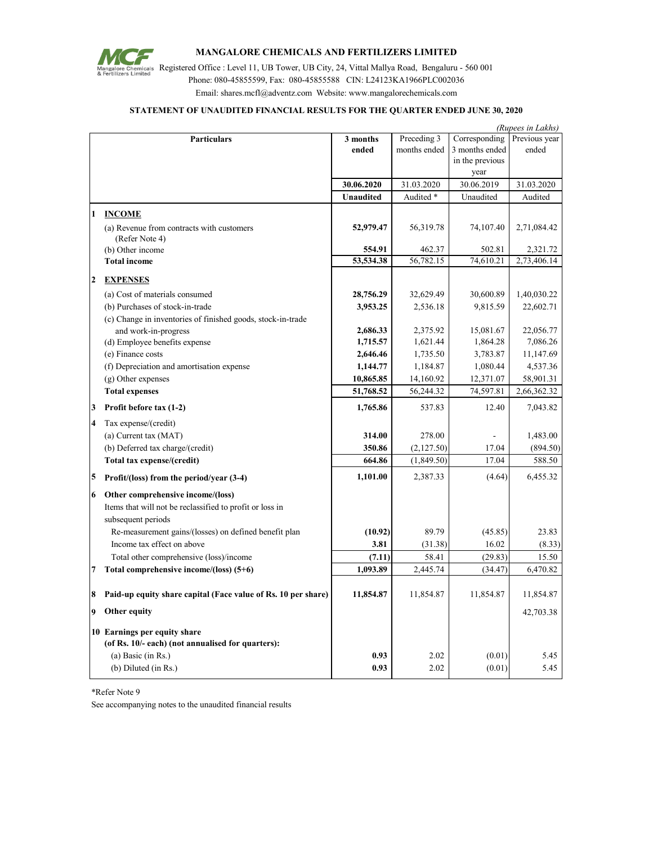

## **MANGALORE CHEMICALS AND FERTILIZERS LIMITED**

Mangalore Chemicals Registered Office : Level 11, UB Tower, UB City, 24, Vittal Mallya Road, Bengaluru - 560 001 Phone: 080-45855599, Fax: 080-45855588 CIN: L24123KA1966PLC002036 Email: shares.mcfl@adventz.com Website: www.mangalorechemicals.com

## **STATEMENT OF UNAUDITED FINANCIAL RESULTS FOR THE QUARTER ENDED JUNE 30, 2020**

|                | (Rupees in Lakhs)                                             |                  |              |                 |               |
|----------------|---------------------------------------------------------------|------------------|--------------|-----------------|---------------|
|                | <b>Particulars</b>                                            | 3 months         | Preceding 3  | Corresponding   | Previous year |
|                |                                                               | ended            | months ended | 3 months ended  | ended         |
|                |                                                               |                  |              | in the previous |               |
|                |                                                               |                  |              | year            |               |
|                |                                                               | 30.06.2020       | 31.03.2020   | 30.06.2019      | 31.03.2020    |
|                |                                                               | <b>Unaudited</b> | Audited *    | Unaudited       | Audited       |
| 1              | <b>INCOME</b>                                                 |                  |              |                 |               |
|                | (a) Revenue from contracts with customers                     | 52,979.47        | 56,319.78    | 74,107.40       | 2,71,084.42   |
|                | (Refer Note 4)                                                |                  |              |                 |               |
|                | (b) Other income                                              | 554.91           | 462.37       | 502.81          | 2,321.72      |
|                | <b>Total income</b>                                           | 53,534.38        | 56,782.15    | 74,610.21       | 2,73,406.14   |
|                |                                                               |                  |              |                 |               |
| $\overline{2}$ | <b>EXPENSES</b>                                               |                  |              |                 |               |
|                | (a) Cost of materials consumed                                | 28,756.29        | 32,629.49    | 30,600.89       | 1,40,030.22   |
|                | (b) Purchases of stock-in-trade                               | 3,953.25         | 2,536.18     | 9,815.59        | 22,602.71     |
|                | (c) Change in inventories of finished goods, stock-in-trade   |                  |              |                 |               |
|                | and work-in-progress                                          | 2,686.33         | 2,375.92     | 15,081.67       | 22,056.77     |
|                | (d) Employee benefits expense                                 | 1,715.57         | 1,621.44     | 1,864.28        | 7,086.26      |
|                | (e) Finance costs                                             | 2,646.46         | 1,735.50     | 3,783.87        | 11,147.69     |
|                | (f) Depreciation and amortisation expense                     | 1,144.77         | 1,184.87     | 1,080.44        | 4,537.36      |
|                | (g) Other expenses                                            | 10,865.85        | 14,160.92    | 12,371.07       | 58,901.31     |
|                | <b>Total expenses</b>                                         | 51,768.52        | 56,244.32    | 74,597.81       | 2,66,362.32   |
| 3              | Profit before tax (1-2)                                       | 1,765.86         | 537.83       | 12.40           | 7,043.82      |
| $\overline{4}$ | Tax expense/(credit)                                          |                  |              |                 |               |
|                | (a) Current tax (MAT)                                         | 314.00           | 278.00       |                 | 1,483.00      |
|                | (b) Deferred tax charge/(credit)                              | 350.86           | (2,127.50)   | 17.04           | (894.50)      |
|                | Total tax expense/(credit)                                    | 664.86           | (1,849.50)   | 17.04           | 588.50        |
|                |                                                               | 1,101.00         | 2,387.33     | (4.64)          | 6,455.32      |
| 5              | Profit/(loss) from the period/year (3-4)                      |                  |              |                 |               |
| 6              | Other comprehensive income/(loss)                             |                  |              |                 |               |
|                | Items that will not be reclassified to profit or loss in      |                  |              |                 |               |
|                | subsequent periods                                            |                  |              |                 |               |
|                | Re-measurement gains/(losses) on defined benefit plan         | (10.92)          | 89.79        | (45.85)         | 23.83         |
|                | Income tax effect on above                                    | 3.81             | (31.38)      | 16.02           | (8.33)        |
|                | Total other comprehensive (loss)/income                       | (7.11)           | 58.41        | (29.83)         | 15.50         |
| 7              | Total comprehensive income/(loss) $(5+6)$                     | 1,093.89         | 2,445.74     | (34.47)         | 6,470.82      |
| 8              | Paid-up equity share capital (Face value of Rs. 10 per share) | 11,854.87        | 11,854.87    | 11,854.87       | 11,854.87     |
| 9              | Other equity                                                  |                  |              |                 | 42,703.38     |
|                | 10 Earnings per equity share                                  |                  |              |                 |               |
|                | (of Rs. 10/- each) (not annualised for quarters):             |                  |              |                 |               |
|                | $(a)$ Basic (in Rs.)                                          | 0.93             | 2.02         | (0.01)          | 5.45          |
|                | (b) Diluted (in Rs.)                                          | 0.93             | 2.02         | (0.01)          | 5.45          |
|                |                                                               |                  |              |                 |               |

\*Refer Note 9

See accompanying notes to the unaudited financial results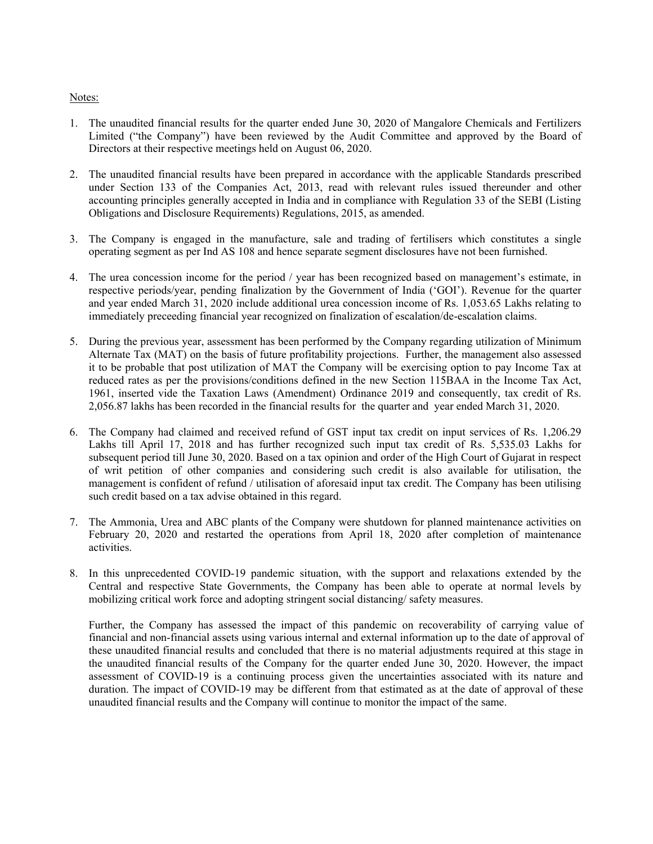## Notes:

- 1. The unaudited financial results for the quarter ended June 30, 2020 of Mangalore Chemicals and Fertilizers Limited ("the Company") have been reviewed by the Audit Committee and approved by the Board of Directors at their respective meetings held on August 06, 2020.
- 2. The unaudited financial results have been prepared in accordance with the applicable Standards prescribed under Section 133 of the Companies Act, 2013, read with relevant rules issued thereunder and other accounting principles generally accepted in India and in compliance with Regulation 33 of the SEBI (Listing Obligations and Disclosure Requirements) Regulations, 2015, as amended.
- 3. The Company is engaged in the manufacture, sale and trading of fertilisers which constitutes a single operating segment as per Ind AS 108 and hence separate segment disclosures have not been furnished.
- 4. The urea concession income for the period / year has been recognized based on management's estimate, in respective periods/year, pending finalization by the Government of India ('GOI'). Revenue for the quarter and year ended March 31, 2020 include additional urea concession income of Rs. 1,053.65 Lakhs relating to immediately preceeding financial year recognized on finalization of escalation/de-escalation claims.
- 5. During the previous year, assessment has been performed by the Company regarding utilization of Minimum Alternate Tax (MAT) on the basis of future profitability projections. Further, the management also assessed it to be probable that post utilization of MAT the Company will be exercising option to pay Income Tax at reduced rates as per the provisions/conditions defined in the new Section 115BAA in the Income Tax Act, 1961, inserted vide the Taxation Laws (Amendment) Ordinance 2019 and consequently, tax credit of Rs. 2,056.87 lakhs has been recorded in the financial results for the quarter and year ended March 31, 2020.
- 6. The Company had claimed and received refund of GST input tax credit on input services of Rs. 1,206.29 Lakhs till April 17, 2018 and has further recognized such input tax credit of Rs. 5,535.03 Lakhs for subsequent period till June 30, 2020. Based on a tax opinion and order of the High Court of Gujarat in respect of writ petition of other companies and considering such credit is also available for utilisation, the management is confident of refund / utilisation of aforesaid input tax credit. The Company has been utilising such credit based on a tax advise obtained in this regard.
- 7. The Ammonia, Urea and ABC plants of the Company were shutdown for planned maintenance activities on February 20, 2020 and restarted the operations from April 18, 2020 after completion of maintenance activities.
- 8. In this unprecedented COVID-19 pandemic situation, with the support and relaxations extended by the Central and respective State Governments, the Company has been able to operate at normal levels by mobilizing critical work force and adopting stringent social distancing/ safety measures.

Further, the Company has assessed the impact of this pandemic on recoverability of carrying value of financial and non-financial assets using various internal and external information up to the date of approval of these unaudited financial results and concluded that there is no material adjustments required at this stage in the unaudited financial results of the Company for the quarter ended June 30, 2020. However, the impact assessment of COVID-19 is a continuing process given the uncertainties associated with its nature and duration. The impact of COVID-19 may be different from that estimated as at the date of approval of these unaudited financial results and the Company will continue to monitor the impact of the same.